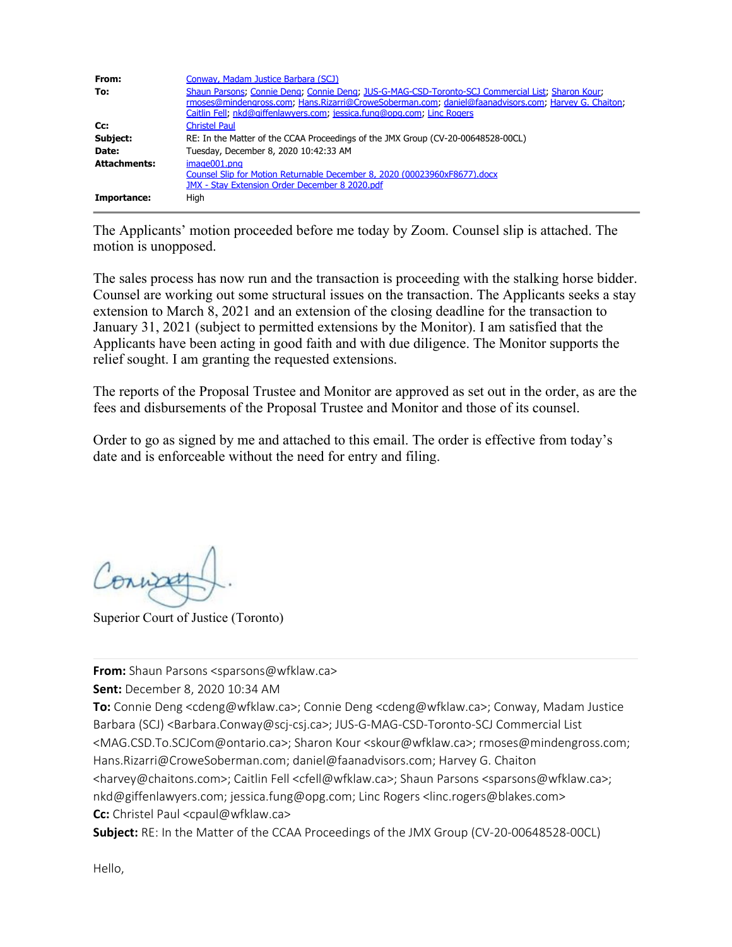| From:<br>To:        | Conway, Madam Justice Barbara (SCJ)<br>Shaun Parsons; Connie Deng; Connie Deng; JUS-G-MAG-CSD-Toronto-SCJ Commercial List; Sharon Kour;<br>rmoses@mindengross.com; Hans.Rizarri@CroweSoberman.com; daniel@faanadvisors.com; Harvey G. Chaiton;<br>Caitlin Fell; nkd@giffenlawyers.com; jessica.fung@opg.com; Linc Rogers |
|---------------------|--------------------------------------------------------------------------------------------------------------------------------------------------------------------------------------------------------------------------------------------------------------------------------------------------------------------------|
| Cc:                 | <b>Christel Paul</b>                                                                                                                                                                                                                                                                                                     |
| Subject:            | RE: In the Matter of the CCAA Proceedings of the JMX Group (CV-20-00648528-00CL)                                                                                                                                                                                                                                         |
| Date:               | Tuesday, December 8, 2020 10:42:33 AM                                                                                                                                                                                                                                                                                    |
| <b>Attachments:</b> | image001.png<br>Counsel Slip for Motion Returnable December 8, 2020 (00023960xF8677).docx<br>JMX - Stay Extension Order December 8 2020.pdf                                                                                                                                                                              |
| Importance:         | Hiah                                                                                                                                                                                                                                                                                                                     |

The Applicants' motion proceeded before me today by Zoom. Counsel slip is attached. The motion is unopposed.

The sales process has now run and the transaction is proceeding with the stalking horse bidder. Counsel are working out some structural issues on the transaction. The Applicants seeks a stay extension to March 8, 2021 and an extension of the closing deadline for the transaction to January 31, 2021 (subject to permitted extensions by the Monitor). I am satisfied that the Applicants have been acting in good faith and with due diligence. The Monitor supports the relief sought. I am granting the requested extensions.

The reports of the Proposal Trustee and Monitor are approved as set out in the order, as are the fees and disbursements of the Proposal Trustee and Monitor and those of its counsel.

Order to go as signed by me and attached to this email. The order is effective from today's date and is enforceable without the need for entry and filing.

Conna

Superior Court of Justice (Toronto)

**From:** Shaun Parsons <sparsons@wfklaw.ca>

**Sent:** December 8, 2020 10:34 AM

**To:** Connie Deng <cdeng@wfklaw.ca>; Connie Deng <cdeng@wfklaw.ca>; Conway, Madam Justice Barbara (SCJ) <Barbara.Conway@scj-csj.ca>; JUS-G-MAG-CSD-Toronto-SCJ Commercial List <MAG.CSD.To.SCJCom@ontario.ca>; Sharon Kour <skour@wfklaw.ca>; rmoses@mindengross.com; Hans.Rizarri@CroweSoberman.com; daniel@faanadvisors.com; Harvey G. Chaiton <harvey@chaitons.com>; Caitlin Fell <cfell@wfklaw.ca>; Shaun Parsons <sparsons@wfklaw.ca>; nkd@giffenlawyers.com; jessica.fung@opg.com; Linc Rogers <linc.rogers@blakes.com> **Cc:** Christel Paul <cpaul@wfklaw.ca>

**Subject:** RE: In the Matter of the CCAA Proceedings of the JMX Group (CV-20-00648528-00CL)

Hello,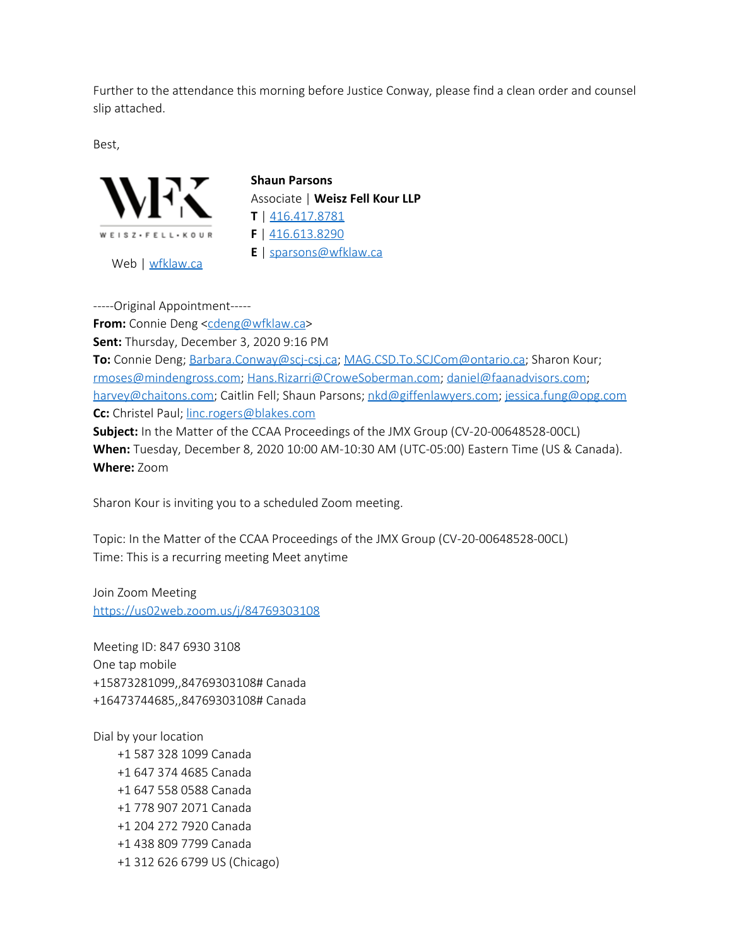Further to the attendance this morning before Justice Conway, please find a clean order and counsel slip attached.

Best,



**Shaun Parsons** Associate | **Weisz Fell Kour LLP T** | [416.417.8781](tel:%20416.613.8284) **F** | [416.613.8290](tel:416.613.8290) **E** | [sparsons@wfklaw.ca](mailto:sparsons@wfklaw.ca)

Web | [wfklaw.ca](https://can01.safelinks.protection.outlook.com/?url=http%3A%2F%2Fwfklaw.ca%2F&data=04%7C01%7CBarbara.Conway%40scj-csj.ca%7C5053b9577e8d4fb5a0f508d89b8ea410%7Ccddc1229ac2a4b97b78a0e5cacb5865c%7C0%7C1%7C637430384514868341%7CUnknown%7CTWFpbGZsb3d8eyJWIjoiMC4wLjAwMDAiLCJQIjoiV2luMzIiLCJBTiI6Ik1haWwiLCJXVCI6Mn0%3D%7C1000&sdata=28EEsBMj1ldA4RxjZWwwA6vSDRu8mnoxnOXBqjVB3FE%3D&reserved=0)

-----Original Appointment----- **From:** Connie Deng [<cdeng@wfklaw.ca](mailto:cdeng@wfklaw.ca)> **Sent:** Thursday, December 3, 2020 9:16 PM **To:** Connie Deng; [Barbara.Conway@scj-csj.ca](mailto:Barbara.Conway@scj-csj.ca); [MAG.CSD.To.SCJCom@ontario.ca](mailto:MAG.CSD.To.SCJCom@ontario.ca); Sharon Kour; [rmoses@mindengross.com](mailto:rmoses@mindengross.com); [Hans.Rizarri@CroweSoberman.com](mailto:Hans.Rizarri@CroweSoberman.com); [daniel@faanadvisors.com](mailto:daniel@faanadvisors.com); [harvey@chaitons.com;](mailto:harvey@chaitons.com) Caitlin Fell; Shaun Parsons; [nkd@giffenlawyers.com](mailto:nkd@giffenlawyers.com); [jessica.fung@opg.com](mailto:jessica.fung@opg.com) **Cc:** Christel Paul; [linc.rogers@blakes.com](mailto:linc.rogers@blakes.com) **Subject:** In the Matter of the CCAA Proceedings of the JMX Group (CV-20-00648528-00CL) **When:** Tuesday, December 8, 2020 10:00 AM-10:30 AM (UTC-05:00) Eastern Time (US & Canada). **Where:** Zoom

Sharon Kour is inviting you to a scheduled Zoom meeting.

Topic: In the Matter of the CCAA Proceedings of the JMX Group (CV-20-00648528-00CL) Time: This is a recurring meeting Meet anytime

Join Zoom Meeting [https://us02web.zoom.us/j/84769303108](https://can01.safelinks.protection.outlook.com/?url=https%3A%2F%2Fus02web.zoom.us%2Fj%2F84769303108&data=04%7C01%7CBarbara.Conway%40scj-csj.ca%7C5053b9577e8d4fb5a0f508d89b8ea410%7Ccddc1229ac2a4b97b78a0e5cacb5865c%7C0%7C1%7C637430384514878336%7CUnknown%7CTWFpbGZsb3d8eyJWIjoiMC4wLjAwMDAiLCJQIjoiV2luMzIiLCJBTiI6Ik1haWwiLCJXVCI6Mn0%3D%7C1000&sdata=fOWJmzVOxgb5F0syyVvaoHhI%2FEtbjFecZVSICre639c%3D&reserved=0)

Meeting ID: 847 6930 3108 One tap mobile +15873281099,,84769303108# Canada +16473744685,,84769303108# Canada

Dial by your location +1 587 328 1099 Canada +1 647 374 4685 Canada +1 647 558 0588 Canada +1 778 907 2071 Canada +1 204 272 7920 Canada +1 438 809 7799 Canada +1 312 626 6799 US (Chicago)